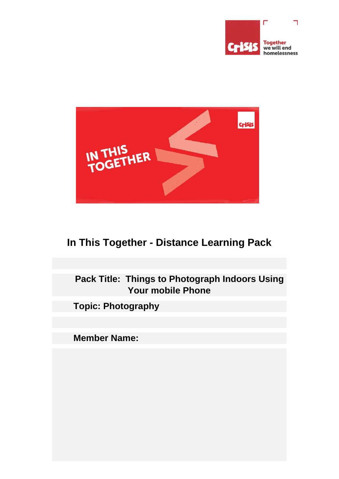



## **In This Together - Distance Learning Pack**

## **Pack Title: Things to Photograph Indoors Using Your mobile Phone**

**Topic: Photography**

**Member Name:**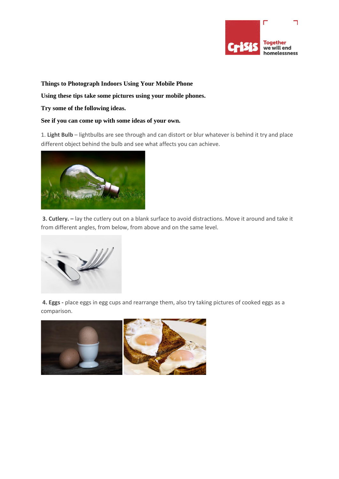

**Things to Photograph Indoors Using Your Mobile Phone**

**Using these tips take some pictures using your mobile phones.** 

**Try some of the following ideas.**

## **See if you can come up with some ideas of your own.**

1. **Light Bulb** – lightbulbs are see through and can distort or blur whatever is behind it try and place different object behind the bulb and see what affects you can achieve.



**3. Cutlery. –** lay the cutlery out on a blank surface to avoid distractions. Move it around and take it from different angles, from below, from above and on the same level.



**4. Eggs -** place eggs in egg cups and rearrange them, also try taking pictures of cooked eggs as a comparison.

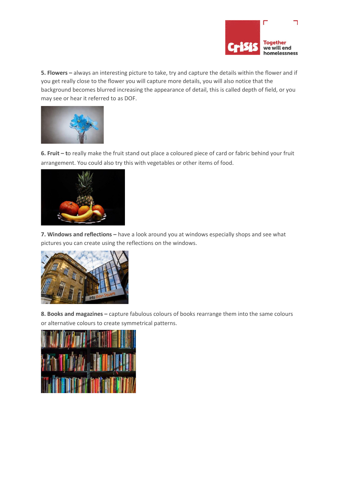

**5. Flowers –** always an interesting picture to take, try and capture the details within the flower and if you get really close to the flower you will capture more details, you will also notice that the background becomes blurred increasing the appearance of detail, this is called depth of field, or you may see or hear it referred to as DOF.



**6. Fruit – t**o really make the fruit stand out place a coloured piece of card or fabric behind your fruit arrangement. You could also try this with vegetables or other items of food.



**7. Windows and reflections –** have a look around you at windows especially shops and see what pictures you can create using the reflections on the windows.



**8. Books and magazines –** capture fabulous colours of books rearrange them into the same colours or alternative colours to create symmetrical patterns.

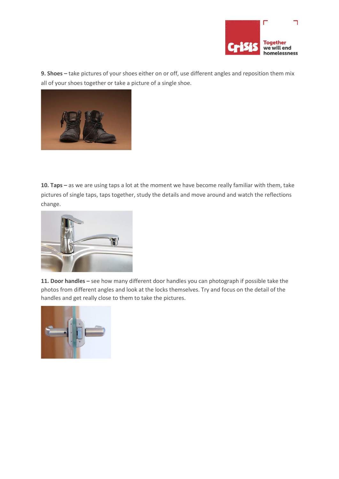

**9. Shoes –** take pictures of your shoes either on or off, use different angles and reposition them mix all of your shoes together or take a picture of a single shoe.



**10. Taps –** as we are using taps a lot at the moment we have become really familiar with them, take pictures of single taps, taps together, study the details and move around and watch the reflections change.



**11. Door handles –** see how many different door handles you can photograph if possible take the photos from different angles and look at the locks themselves. Try and focus on the detail of the handles and get really close to them to take the pictures.

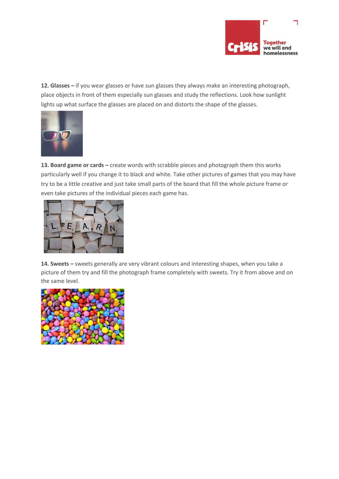

**12. Glasses –** if you wear glasses or have sun glasses they always make an interesting photograph, place objects in front of them especially sun glasses and study the reflections. Look how sunlight lights up what surface the glasses are placed on and distorts the shape of the glasses.



13. Board game or cards – create words with scrabble pieces and photograph them this works particularly well if you change it to black and white. Take other pictures of games that you may have try to be a little creative and just take small parts of the board that fill the whole picture frame or even take pictures of the individual pieces each game has.



**14. Sweets –** sweets generally are very vibrant colours and interesting shapes, when you take a picture of them try and fill the photograph frame completely with sweets. Try it from above and on the same level.